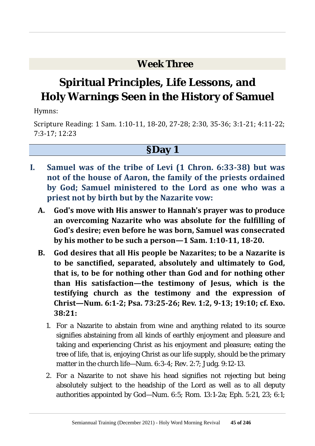### **Week Three**

# **Spiritual Principles, Life Lessons, and Holy Warnings Seen in the History of Samuel**

Hymns:

Scripture Reading: 1 Sam. 1:10-11, 18-20, 27-28; 2:30, 35-36; 3:1-21; 4:11-22; 7:3-17; 12:23

- **I. Samuel was of the tribe of Levi (1 Chron. 6:33-38) but was not of the house of Aaron, the family of the priests ordained by God; Samuel ministered to the Lord as one who was a priest not by birth but by the Nazarite vow:**
	- **A. God's move with His answer to Hannah's prayer was to produce an overcoming Nazarite who was absolute for the fulfilling of God's desire; even before he was born, Samuel was consecrated by his mother to be such a person—1 Sam. 1:10-11, 18-20.**
	- **B. God desires that all His people be Nazarites; to be a Nazarite is to be sanctified, separated, absolutely and ultimately to God, that is, to be for nothing other than God and for nothing other than His satisfaction—the testimony of Jesus, which is the testifying church as the testimony and the expression of Christ—Num. 6:1-2; Psa. 73:25-26; Rev. 1:2, 9-13; 19:10; cf. Exo. 38:21:**
		- 1. For a Nazarite to abstain from wine and anything related to its source signifies abstaining from all kinds of earthly enjoyment and pleasure and taking and experiencing Christ as his enjoyment and pleasure; eating the tree of life, that is, enjoying Christ as our life supply, should be the primary matter in the church life—Num. 6:3-4; Rev. 2:7; Judg. 9:12-13.
		- 2. For a Nazarite to not shave his head signifies not rejecting but being absolutely subject to the headship of the Lord as well as to all deputy authorities appointed by God—Num. 6:5; Rom. 13:1-2a; Eph. 5:21, 23; 6:1;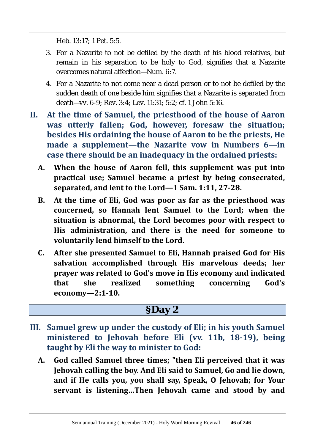Heb. 13:17; 1 Pet. 5:5.

- 3. For a Nazarite to not be defiled by the death of his blood relatives, but remain in his separation to be holy to God, signifies that a Nazarite overcomes natural affection—Num. 6:7.
- 4. For a Nazarite to not come near a dead person or to not be defiled by the sudden death of one beside him signifies that a Nazarite is separated from death—vv. 6-9; Rev. 3:4; Lev. 11:31; 5:2; cf. 1 John 5:16.
- **II. At the time of Samuel, the priesthood of the house of Aaron was utterly fallen; God, however, foresaw the situation; besides His ordaining the house of Aaron to be the priests, He made a supplement—the Nazarite vow in Numbers 6—in case there should be an inadequacy in the ordained priests:**
	- **A. When the house of Aaron fell, this supplement was put into practical use; Samuel became a priest by being consecrated, separated, and lent to the Lord—1 Sam. 1:11, 27-28.**
	- **B. At the time of Eli, God was poor as far as the priesthood was concerned, so Hannah lent Samuel to the Lord; when the situation is abnormal, the Lord becomes poor with respect to His administration, and there is the need for someone to voluntarily lend himself to the Lord.**
	- **C. After she presented Samuel to Eli, Hannah praised God for His salvation accomplished through His marvelous deeds; her prayer was related to God's move in His economy and indicated that she realized something concerning God's economy—2:1-10.**

- **III. Samuel grew up under the custody of Eli; in his youth Samuel ministered to Jehovah before Eli (vv. 11b, 18-19), being taught by Eli the way to minister to God:**
	- **A. God called Samuel three times; "then Eli perceived that it was Jehovah calling the boy. And Eli said to Samuel, Go and lie down, and if He calls you, you shall say, Speak, O Jehovah; for Your servant is listening…Then Jehovah came and stood by and**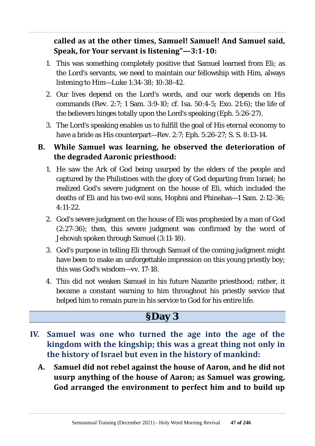**called as at the other times, Samuel! Samuel! And Samuel said, Speak, for Your servant is listening"—3:1-10:**

- 1. This was something completely positive that Samuel learned from Eli; as the Lord's servants, we need to maintain our fellowship with Him, always listening to Him—Luke 1:34-38; 10:38-42.
- 2. Our lives depend on the Lord's words, and our work depends on His commands (Rev. 2:7; 1 Sam. 3:9-10; cf. Isa. 50:4-5; Exo. 21:6); the life of the believers hinges totally upon the Lord's speaking (Eph. 5:26-27).
- 3. The Lord's speaking enables us to fulfill the goal of His eternal economy to have a bride as His counterpart—Rev. 2:7; Eph. 5:26-27; S. S. 8:13-14.

#### **B. While Samuel was learning, he observed the deterioration of the degraded Aaronic priesthood:**

- 1. He saw the Ark of God being usurped by the elders of the people and captured by the Philistines with the glory of God departing from Israel; he realized God's severe judgment on the house of Eli, which included the deaths of Eli and his two evil sons, Hophni and Phinehas—1 Sam. 2:12-36;  $4.11 - 22$
- 2. God's severe judgment on the house of Eli was prophesied by a man of God (2:27-36); then, this severe judgment was confirmed by the word of Jehovah spoken through Samuel (3:11-18).
- 3. God's purpose in telling Eli through Samuel of the coming judgment might have been to make an unforgettable impression on this young priestly boy; this was God's wisdom—vv. 17-18.
- 4. This did not weaken Samuel in his future Nazarite priesthood; rather, it became a constant warning to him throughout his priestly service that helped him to remain pure in his service to God for his entire life.

- **IV. Samuel was one who turned the age into the age of the kingdom with the kingship; this was a great thing not only in the history of Israel but even in the history of mankind:**
	- **A. Samuel did not rebel against the house of Aaron, and he did not usurp anything of the house of Aaron; as Samuel was growing, God arranged the environment to perfect him and to build up**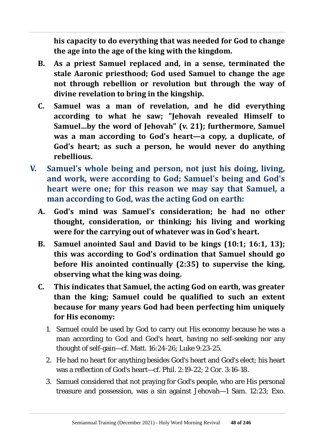**his capacity to do everything that was needed for God to change the age into the age of the king with the kingdom.**

- **B. As a priest Samuel replaced and, in a sense, terminated the stale Aaronic priesthood; God used Samuel to change the age not through rebellion or revolution but through the way of divine revelation to bring in the kingship.**
- **C. Samuel was a man of revelation, and he did everything according to what he saw; "Jehovah revealed Himself to Samuel…by the word of Jehovah" (v. 21); furthermore, Samuel was a man according to God's heart—a copy, a duplicate, of God's heart; as such a person, he would never do anything rebellious.**
- **V. Samuel's whole being and person, not just his doing, living, and work, were according to God; Samuel's being and God's heart were one; for this reason we may say that Samuel, a man according to God, was the acting God on earth:**
	- **A. God's mind was Samuel's consideration; he had no other thought, consideration, or thinking; his living and working were for the carrying out of whatever was in God's heart.**
	- **B. Samuel anointed Saul and David to be kings (10:1; 16:1, 13); this was according to God's ordination that Samuel should go before His anointed continually (2:35) to supervise the king, observing what the king was doing.**
	- **C. This indicates that Samuel, the acting God on earth, was greater than the king; Samuel could be qualified to such an extent because for many years God had been perfecting him uniquely for His economy:**
		- 1. Samuel could be used by God to carry out His economy because he was a man according to God and God's heart, having no self-seeking nor any thought of self-gain—cf. Matt. 16:24-26; Luke 9:23-25.
		- 2. He had no heart for anything besides God's heart and God's elect; his heart was a reflection of God's heart—cf. Phil. 2:19-22; 2 Cor. 3:16-18.
		- 3. Samuel considered that not praying for God's people, who are His personal treasure and possession, was a sin against Jehovah—1 Sam. 12:23; Exo.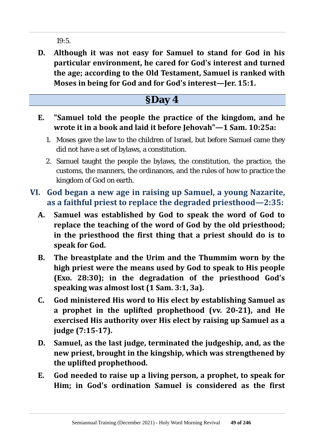19:5.

**D. Although it was not easy for Samuel to stand for God in his particular environment, he cared for God's interest and turned the age; according to the Old Testament, Samuel is ranked with Moses in being for God and for God's interest—Jer. 15:1.**

- **E. "Samuel told the people the practice of the kingdom, and he wrote it in a book and laid it before Jehovah"—1 Sam. 10:25a:**
	- 1. Moses gave the law to the children of Israel, but before Samuel came they did not have a set of bylaws, a constitution.
	- 2. Samuel taught the people the bylaws, the constitution, the practice, the customs, the manners, the ordinances, and the rules of how to practice the kingdom of God on earth.
- **VI. God began a new age in raising up Samuel, a young Nazarite, as a faithful priest to replace the degraded priesthood—2:35:**
	- **A. Samuel was established by God to speak the word of God to replace the teaching of the word of God by the old priesthood; in the priesthood the first thing that a priest should do is to speak for God.**
	- **B. The breastplate and the Urim and the Thummim worn by the high priest were the means used by God to speak to His people (Exo. 28:30); in the degradation of the priesthood God's speaking was almost lost (1 Sam. 3:1, 3a).**
	- **C. God ministered His word to His elect by establishing Samuel as a prophet in the uplifted prophethood (vv. 20-21), and He exercised His authority over His elect by raising up Samuel as a judge (7:15-17).**
	- **D. Samuel, as the last judge, terminated the judgeship, and, as the new priest, brought in the kingship, which was strengthened by the uplifted prophethood.**
	- **E. God needed to raise up a living person, a prophet, to speak for Him; in God's ordination Samuel is considered as the first**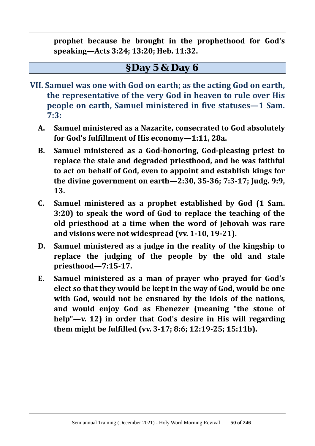**prophet because he brought in the prophethood for God's speaking—Acts 3:24; 13:20; Heb. 11:32.**

#### **§Day 5 & Day 6**

- **VII. Samuel was one with God on earth; as the acting God on earth, the representative of the very God in heaven to rule over His people on earth, Samuel ministered in five statuses—1 Sam. 7:3:**
	- **A. Samuel ministered as a Nazarite, consecrated to God absolutely for God's fulfillment of His economy—1:11, 28a.**
	- **B. Samuel ministered as a God-honoring, God-pleasing priest to replace the stale and degraded priesthood, and he was faithful to act on behalf of God, even to appoint and establish kings for the divine government on earth—2:30, 35-36; 7:3-17; Judg. 9:9, 13.**
	- **C. Samuel ministered as a prophet established by God (1 Sam. 3:20) to speak the word of God to replace the teaching of the old priesthood at a time when the word of Jehovah was rare and visions were not widespread (vv. 1-10, 19-21).**
	- **D. Samuel ministered as a judge in the reality of the kingship to replace the judging of the people by the old and stale priesthood—7:15-17.**
	- **E. Samuel ministered as a man of prayer who prayed for God's elect so that they would be kept in the way of God, would be one with God, would not be ensnared by the idols of the nations, and would enjoy God as Ebenezer (meaning "the stone of help"—v. 12) in order that God's desire in His will regarding them might be fulfilled (vv. 3-17; 8:6; 12:19-25; 15:11b).**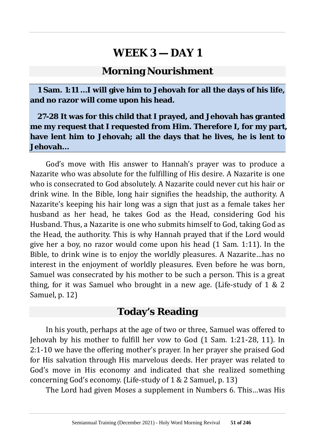#### **Morning Nourishment**

**1 Sam. 1:11 …I will give him to Jehovah for all the days of his life, and no razor will come upon his head.**

**27-28 It was for this child that I prayed, and Jehovah has granted me my request that I requested from Him. Therefore I, for my part, have lent him to Jehovah; all the days that he lives, he is lent to Jehovah…**

God's move with His answer to Hannah's prayer was to produce a Nazarite who was absolute for the fulfilling of His desire. A Nazarite is one who is consecrated to God absolutely. A Nazarite could never cut his hair or drink wine. In the Bible, long hair signifies the headship, the authority. A Nazarite's keeping his hair long was a sign that just as a female takes her husband as her head, he takes God as the Head, considering God his Husband. Thus, a Nazarite is one who submits himself to God, taking God as the Head, the authority. This is why Hannah prayed that if the Lord would give her a boy, no razor would come upon his head (1 Sam. 1:11). In the Bible, to drink wine is to enjoy the worldly pleasures. A Nazarite…has no interest in the enjoyment of worldly pleasures. Even before he was born, Samuel was consecrated by his mother to be such a person. This is a great thing, for it was Samuel who brought in a new age. (Life-study of 1 & 2 Samuel, p. 12)

#### **Today's Reading**

In his youth, perhaps at the age of two or three, Samuel was offered to Jehovah by his mother to fulfill her vow to God (1 Sam. 1:21-28, 11). In 2:1-10 we have the offering mother's prayer. In her prayer she praised God for His salvation through His marvelous deeds. Her prayer was related to God's move in His economy and indicated that she realized something concerning God's economy. (Life-study of 1 & 2 Samuel, p. 13)

The Lord had given Moses a supplement in Numbers 6. This…was His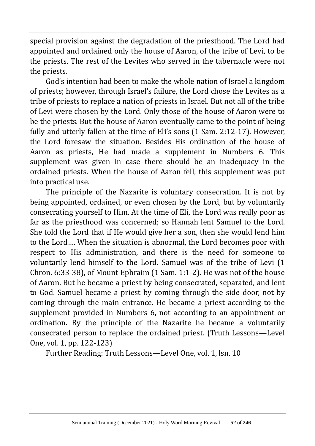special provision against the degradation of the priesthood. The Lord had appointed and ordained only the house of Aaron, of the tribe of Levi, to be the priests. The rest of the Levites who served in the tabernacle were not the priests.

God's intention had been to make the whole nation of Israel a kingdom of priests; however, through Israel's failure, the Lord chose the Levites as a tribe of priests to replace a nation of priests in Israel. But not all of the tribe of Levi were chosen by the Lord. Only those of the house of Aaron were to be the priests. But the house of Aaron eventually came to the point of being fully and utterly fallen at the time of Eli's sons (1 Sam. 2:12-17). However, the Lord foresaw the situation. Besides His ordination of the house of Aaron as priests, He had made a supplement in Numbers 6. This supplement was given in case there should be an inadequacy in the ordained priests. When the house of Aaron fell, this supplement was put into practical use.

The principle of the Nazarite is voluntary consecration. It is not by being appointed, ordained, or even chosen by the Lord, but by voluntarily consecrating yourself to Him. At the time of Eli, the Lord was really poor as far as the priesthood was concerned; so Hannah lent Samuel to the Lord. She told the Lord that if He would give her a son, then she would lend him to the Lord…. When the situation is abnormal, the Lord becomes poor with respect to His administration, and there is the need for someone to voluntarily lend himself to the Lord. Samuel was of the tribe of Levi (1 Chron. 6:33-38), of Mount Ephraim (1 Sam. 1:1-2). He was not of the house of Aaron. But he became a priest by being consecrated, separated, and lent to God. Samuel became a priest by coming through the side door, not by coming through the main entrance. He became a priest according to the supplement provided in Numbers 6, not according to an appointment or ordination. By the principle of the Nazarite he became a voluntarily consecrated person to replace the ordained priest. (Truth Lessons—Level One, vol. 1, pp. 122-123)

Further Reading: Truth Lessons—Level One, vol. 1, lsn. 10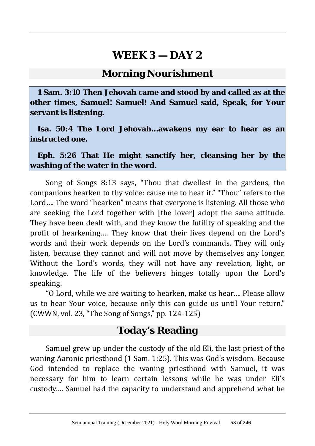#### **Morning Nourishment**

**1 Sam. 3:10 Then Jehovah came and stood by and called as at the other times, Samuel! Samuel! And Samuel said, Speak, for Your servant is listening.**

**Isa. 50:4 The Lord Jehovah…awakens my ear to hear as an instructed one.**

**Eph. 5:26 That He might sanctify her, cleansing her by the washing of the water in the word.**

Song of Songs 8:13 says, "Thou that dwellest in the gardens, the companions hearken to thy voice: cause me to hear it." "Thou" refers to the Lord…. The word "hearken" means that everyone is listening. All those who are seeking the Lord together with [the lover] adopt the same attitude. They have been dealt with, and they know the futility of speaking and the profit of hearkening…. They know that their lives depend on the Lord's words and their work depends on the Lord's commands. They will only listen, because they cannot and will not move by themselves any longer. Without the Lord's words, they will not have any revelation, light, or knowledge. The life of the believers hinges totally upon the Lord's speaking.

"O Lord, while we are waiting to hearken, make us hear…. Please allow us to hear Your voice, because only this can guide us until Your return." (CWWN, vol. 23, "The Song of Songs," pp. 124-125)

### **Today's Reading**

Samuel grew up under the custody of the old Eli, the last priest of the waning Aaronic priesthood (1 Sam. 1:25). This was God's wisdom. Because God intended to replace the waning priesthood with Samuel, it was necessary for him to learn certain lessons while he was under Eli's custody…. Samuel had the capacity to understand and apprehend what he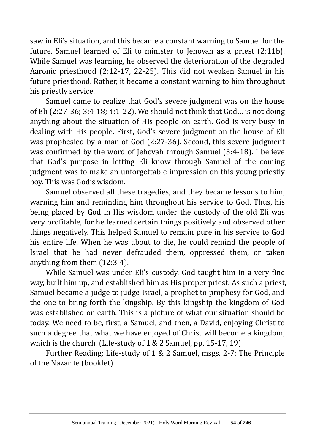saw in Eli's situation, and this became a constant warning to Samuel for the future. Samuel learned of Eli to minister to Jehovah as a priest (2:11b). While Samuel was learning, he observed the deterioration of the degraded Aaronic priesthood (2:12-17, 22-25). This did not weaken Samuel in his future priesthood. Rather, it became a constant warning to him throughout his priestly service.

Samuel came to realize that God's severe judgment was on the house of Eli (2:27-36; 3:4-18; 4:1-22). We should not think that God… is not doing anything about the situation of His people on earth. God is very busy in dealing with His people. First, God's severe judgment on the house of Eli was prophesied by a man of God (2:27-36). Second, this severe judgment was confirmed by the word of Jehovah through Samuel (3:4-18). I believe that God's purpose in letting Eli know through Samuel of the coming judgment was to make an unforgettable impression on this young priestly boy. This was God's wisdom.

Samuel observed all these tragedies, and they became lessons to him, warning him and reminding him throughout his service to God. Thus, his being placed by God in His wisdom under the custody of the old Eli was very profitable, for he learned certain things positively and observed other things negatively. This helped Samuel to remain pure in his service to God his entire life. When he was about to die, he could remind the people of Israel that he had never defrauded them, oppressed them, or taken anything from them (12:3-4).

While Samuel was under Eli's custody, God taught him in a very fine way, built him up, and established him as His proper priest. As such a priest, Samuel became a judge to judge Israel, a prophet to prophesy for God, and the one to bring forth the kingship. By this kingship the kingdom of God was established on earth. This is a picture of what our situation should be today. We need to be, first, a Samuel, and then, a David, enjoying Christ to such a degree that what we have enjoyed of Christ will become a kingdom, which is the church. (Life-study of 1 & 2 Samuel, pp. 15-17, 19)

Further Reading: Life-study of 1 & 2 Samuel, msgs. 2-7; The Principle of the Nazarite (booklet)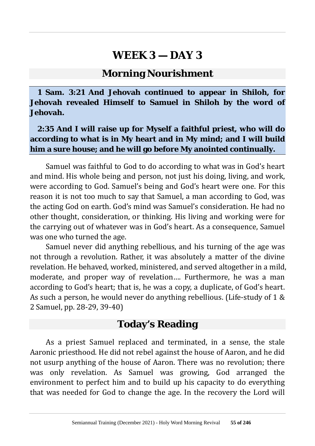#### **Morning Nourishment**

**1 Sam. 3:21 And Jehovah continued to appear in Shiloh, for Jehovah revealed Himself to Samuel in Shiloh by the word of Jehovah.**

#### **2:35 And I will raise up for Myself a faithful priest, who will do according to what is in My heart and in My mind; and I will build him a sure house; and he will go before My anointed continually.**

Samuel was faithful to God to do according to what was in God's heart and mind. His whole being and person, not just his doing, living, and work, were according to God. Samuel's being and God's heart were one. For this reason it is not too much to say that Samuel, a man according to God, was the acting God on earth. God's mind was Samuel's consideration. He had no other thought, consideration, or thinking. His living and working were for the carrying out of whatever was in God's heart. As a consequence, Samuel was one who turned the age.

Samuel never did anything rebellious, and his turning of the age was not through a revolution. Rather, it was absolutely a matter of the divine revelation. He behaved, worked, ministered, and served altogether in a mild, moderate, and proper way of revelation…. Furthermore, he was a man according to God's heart; that is, he was a copy, a duplicate, of God's heart. As such a person, he would never do anything rebellious. (Life-study of 1 & 2 Samuel, pp. 28-29, 39-40)

#### **Today's Reading**

As a priest Samuel replaced and terminated, in a sense, the stale Aaronic priesthood. He did not rebel against the house of Aaron, and he did not usurp anything of the house of Aaron. There was no revolution; there was only revelation. As Samuel was growing, God arranged the environment to perfect him and to build up his capacity to do everything that was needed for God to change the age. In the recovery the Lord will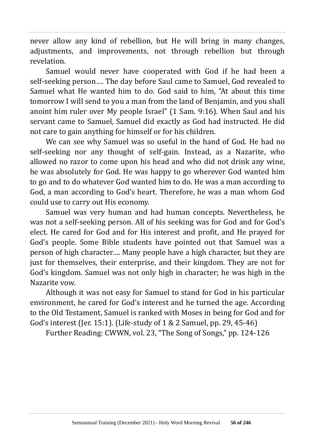never allow any kind of rebellion, but He will bring in many changes, adjustments, and improvements, not through rebellion but through revelation.

Samuel would never have cooperated with God if he had been a self-seeking person…. The day before Saul came to Samuel, God revealed to Samuel what He wanted him to do. God said to him, "At about this time tomorrow I will send to you a man from the land of Benjamin, and you shall anoint him ruler over My people Israel" (1 Sam. 9:16). When Saul and his servant came to Samuel, Samuel did exactly as God had instructed. He did not care to gain anything for himself or for his children.

We can see why Samuel was so useful in the hand of God. He had no self-seeking nor any thought of self-gain. Instead, as a Nazarite, who allowed no razor to come upon his head and who did not drink any wine, he was absolutely for God. He was happy to go wherever God wanted him to go and to do whatever God wanted him to do. He was a man according to God, a man according to God's heart. Therefore, he was a man whom God could use to carry out His economy.

Samuel was very human and had human concepts. Nevertheless, he was not a self-seeking person. All of his seeking was for God and for God's elect. He cared for God and for His interest and profit, and He prayed for God's people. Some Bible students have pointed out that Samuel was a person of high character…. Many people have a high character, but they are just for themselves, their enterprise, and their kingdom. They are not for God's kingdom. Samuel was not only high in character; he was high in the Nazarite vow.

Although it was not easy for Samuel to stand for God in his particular environment, he cared for God's interest and he turned the age. According to the Old Testament, Samuel is ranked with Moses in being for God and for God's interest (Jer. 15:1). (Life-study of 1 & 2 Samuel, pp. 29, 45-46)

Further Reading: CWWN, vol. 23, "The Song of Songs," pp. 124-126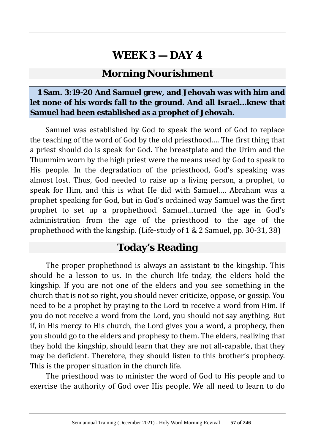### **Morning Nourishment**

#### **1 Sam. 3:19-20 And Samuel grew, and Jehovah was with him and let none of his words fall to the ground. And all Israel…knew that Samuel had been established as a prophet of Jehovah.**

Samuel was established by God to speak the word of God to replace the teaching of the word of God by the old priesthood…. The first thing that a priest should do is speak for God. The breastplate and the Urim and the Thummim worn by the high priest were the means used by God to speak to His people. In the degradation of the priesthood, God's speaking was almost lost. Thus, God needed to raise up a living person, a prophet, to speak for Him, and this is what He did with Samuel…. Abraham was a prophet speaking for God, but in God's ordained way Samuel was the first prophet to set up a prophethood. Samuel…turned the age in God's administration from the age of the priesthood to the age of the prophethood with the kingship. (Life-study of 1 & 2 Samuel, pp. 30-31, 38)

#### **Today's Reading**

The proper prophethood is always an assistant to the kingship. This should be a lesson to us. In the church life today, the elders hold the kingship. If you are not one of the elders and you see something in the church that is not so right, you should never criticize, oppose, or gossip. You need to be a prophet by praying to the Lord to receive a word from Him. If you do not receive a word from the Lord, you should not say anything. But if, in His mercy to His church, the Lord gives you a word, a prophecy, then you should go to the elders and prophesy to them. The elders, realizing that they hold the kingship, should learn that they are not all-capable, that they may be deficient. Therefore, they should listen to this brother's prophecy. This is the proper situation in the church life.

The priesthood was to minister the word of God to His people and to exercise the authority of God over His people. We all need to learn to do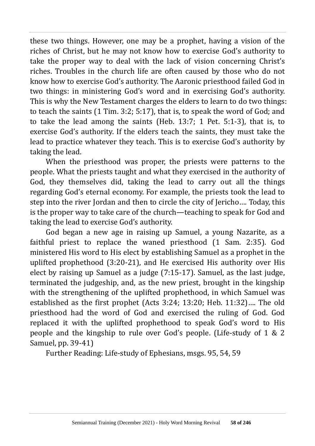these two things. However, one may be a prophet, having a vision of the riches of Christ, but he may not know how to exercise God's authority to take the proper way to deal with the lack of vision concerning Christ's riches. Troubles in the church life are often caused by those who do not know how to exercise God's authority. The Aaronic priesthood failed God in two things: in ministering God's word and in exercising God's authority. This is why the New Testament charges the elders to learn to do two things: to teach the saints (1 Tim. 3:2; 5:17), that is, to speak the word of God; and to take the lead among the saints (Heb. 13:7; 1 Pet. 5:1-3), that is, to exercise God's authority. If the elders teach the saints, they must take the lead to practice whatever they teach. This is to exercise God's authority by taking the lead.

When the priesthood was proper, the priests were patterns to the people. What the priests taught and what they exercised in the authority of God, they themselves did, taking the lead to carry out all the things regarding God's eternal economy. For example, the priests took the lead to step into the river Jordan and then to circle the city of Jericho…. Today, this is the proper way to take care of the church—teaching to speak for God and taking the lead to exercise God's authority.

God began a new age in raising up Samuel, a young Nazarite, as a faithful priest to replace the waned priesthood (1 Sam. 2:35). God ministered His word to His elect by establishing Samuel as a prophet in the uplifted prophethood (3:20-21), and He exercised His authority over His elect by raising up Samuel as a judge (7:15-17). Samuel, as the last judge, terminated the judgeship, and, as the new priest, brought in the kingship with the strengthening of the uplifted prophethood, in which Samuel was established as the first prophet (Acts 3:24; 13:20; Heb. 11:32)…. The old priesthood had the word of God and exercised the ruling of God. God replaced it with the uplifted prophethood to speak God's word to His people and the kingship to rule over God's people. (Life-study of 1 & 2 Samuel, pp. 39-41)

Further Reading: Life-study of Ephesians, msgs. 95, 54, 59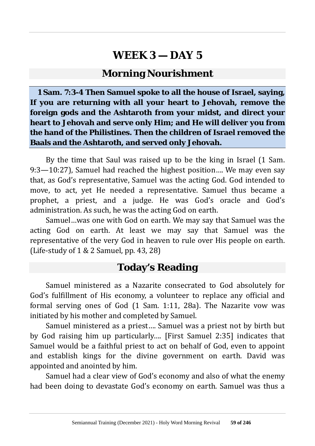#### **Morning Nourishment**

**1 Sam. 7:3-4 Then Samuel spoke to all the house of Israel, saying, If you are returning with all your heart to Jehovah, remove the foreign gods and the Ashtaroth from your midst, and direct your heart to Jehovah and serve only Him; and He will deliver you from the hand of the Philistines. Then the children of Israel removed the Baals and the Ashtaroth, and served only Jehovah.**

By the time that Saul was raised up to be the king in Israel (1 Sam. 9:3—10:27), Samuel had reached the highest position…. We may even say that, as God's representative, Samuel was the acting God. God intended to move, to act, yet He needed a representative. Samuel thus became a prophet, a priest, and a judge. He was God's oracle and God's administration. As such, he was the acting God on earth.

Samuel…was one with God on earth. We may say that Samuel was the acting God on earth. At least we may say that Samuel was the representative of the very God in heaven to rule over His people on earth. (Life-study of  $1 \& 2$  Samuel, pp. 43, 28)

## **Today's Reading**

Samuel ministered as a Nazarite consecrated to God absolutely for God's fulfillment of His economy, a volunteer to replace any official and formal serving ones of God (1 Sam. 1:11, 28a). The Nazarite vow was initiated by his mother and completed by Samuel.

Samuel ministered as a priest…. Samuel was a priest not by birth but by God raising him up particularly…. [First Samuel 2:35] indicates that Samuel would be a faithful priest to act on behalf of God, even to appoint and establish kings for the divine government on earth. David was appointed and anointed by him.

Samuel had a clear view of God's economy and also of what the enemy had been doing to devastate God's economy on earth. Samuel was thus a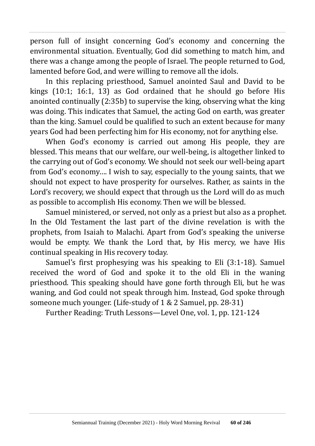person full of insight concerning God's economy and concerning the environmental situation. Eventually, God did something to match him, and there was a change among the people of Israel. The people returned to God, lamented before God, and were willing to remove all the idols.

In this replacing priesthood, Samuel anointed Saul and David to be kings (10:1; 16:1, 13) as God ordained that he should go before His anointed continually (2:35b) to supervise the king, observing what the king was doing. This indicates that Samuel, the acting God on earth, was greater than the king. Samuel could be qualified to such an extent because for many years God had been perfecting him for His economy, not for anything else.

When God's economy is carried out among His people, they are blessed. This means that our welfare, our well-being, is altogether linked to the carrying out of God's economy. We should not seek our well-being apart from God's economy…. I wish to say, especially to the young saints, that we should not expect to have prosperity for ourselves. Rather, as saints in the Lord's recovery, we should expect that through us the Lord will do as much as possible to accomplish His economy. Then we will be blessed.

Samuel ministered, or served, not only as a priest but also as a prophet. In the Old Testament the last part of the divine revelation is with the prophets, from Isaiah to Malachi. Apart from God's speaking the universe would be empty. We thank the Lord that, by His mercy, we have His continual speaking in His recovery today.

Samuel's first prophesying was his speaking to Eli (3:1-18). Samuel received the word of God and spoke it to the old Eli in the waning priesthood. This speaking should have gone forth through Eli, but he was waning, and God could not speak through him. Instead, God spoke through someone much younger. (Life-study of 1 & 2 Samuel, pp. 28-31)

Further Reading: Truth Lessons—Level One, vol. 1, pp. 121-124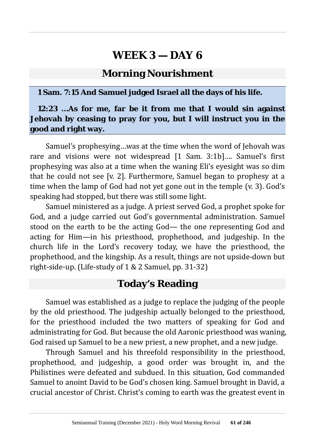#### **Morning Nourishment**

#### **1 Sam. 7:15 And Samuel judged Israel all the days of his life.**

#### **12:23 …As for me, far be it from me that I would sin against Jehovah by ceasing to pray for you, but I will instruct you in the good and right way.**

Samuel's prophesying…was at the time when the word of Jehovah was rare and visions were not widespread [1 Sam. 3:1b]…. Samuel's first prophesying was also at a time when the waning Eli's eyesight was so dim that he could not see [v. 2]. Furthermore, Samuel began to prophesy at a time when the lamp of God had not yet gone out in the temple (v. 3). God's speaking had stopped, but there was still some light.

Samuel ministered as a judge. A priest served God, a prophet spoke for God, and a judge carried out God's governmental administration. Samuel stood on the earth to be the acting God— the one representing God and acting for Him—in his priesthood, prophethood, and judgeship. In the church life in the Lord's recovery today, we have the priesthood, the prophethood, and the kingship. As a result, things are not upside-down but right-side-up. (Life-study of 1 & 2 Samuel, pp. 31-32)

### **Today's Reading**

Samuel was established as a judge to replace the judging of the people by the old priesthood. The judgeship actually belonged to the priesthood, for the priesthood included the two matters of speaking for God and administrating for God. But because the old Aaronic priesthood was waning, God raised up Samuel to be a new priest, a new prophet, and a new judge.

Through Samuel and his threefold responsibility in the priesthood, prophethood, and judgeship, a good order was brought in, and the Philistines were defeated and subdued. In this situation, God commanded Samuel to anoint David to be God's chosen king. Samuel brought in David, a crucial ancestor of Christ. Christ's coming to earth was the greatest event in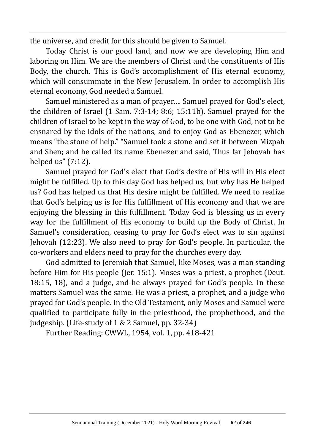the universe, and credit for this should be given to Samuel.

Today Christ is our good land, and now we are developing Him and laboring on Him. We are the members of Christ and the constituents of His Body, the church. This is God's accomplishment of His eternal economy, which will consummate in the New Jerusalem. In order to accomplish His eternal economy, God needed a Samuel.

Samuel ministered as a man of prayer…. Samuel prayed for God's elect, the children of Israel (1 Sam. 7:3-14; 8:6; 15:11b). Samuel prayed for the children of Israel to be kept in the way of God, to be one with God, not to be ensnared by the idols of the nations, and to enjoy God as Ebenezer, which means "the stone of help." "Samuel took a stone and set it between Mizpah and Shen; and he called its name Ebenezer and said, Thus far Jehovah has helped us" (7:12).

Samuel prayed for God's elect that God's desire of His will in His elect might be fulfilled. Up to this day God has helped us, but why has He helped us? God has helped us that His desire might be fulfilled. We need to realize that God's helping us is for His fulfillment of His economy and that we are enjoying the blessing in this fulfillment. Today God is blessing us in every way for the fulfillment of His economy to build up the Body of Christ. In Samuel's consideration, ceasing to pray for God's elect was to sin against Jehovah (12:23). We also need to pray for God's people. In particular, the co-workers and elders need to pray for the churches every day.

God admitted to Jeremiah that Samuel, like Moses, was a man standing before Him for His people (Jer. 15:1). Moses was a priest, a prophet (Deut. 18:15, 18), and a judge, and he always prayed for God's people. In these matters Samuel was the same. He was a priest, a prophet, and a judge who prayed for God's people. In the Old Testament, only Moses and Samuel were qualified to participate fully in the priesthood, the prophethood, and the judgeship. (Life-study of 1 & 2 Samuel, pp. 32-34)

Further Reading: CWWL, 1954, vol. 1, pp. 418-421